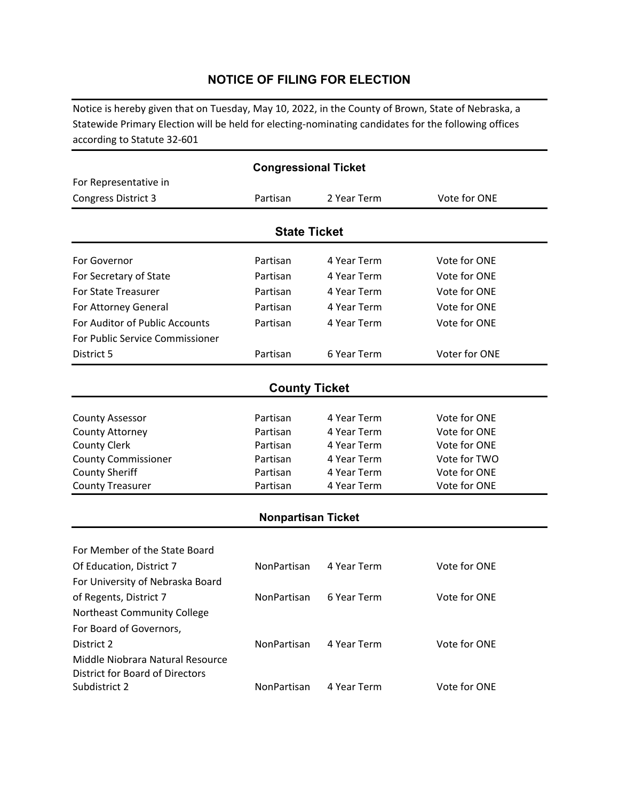# **NOTICE OF FILING FOR ELECTION**

Notice is hereby given that on Tuesday, May 10, 2022, in the County of Brown, State of Nebraska, a Statewide Primary Election will be held for electing‐nominating candidates for the following offices according to Statute 32‐601

| <b>Congressional Ticket</b>            |                      |             |               |  |  |  |  |
|----------------------------------------|----------------------|-------------|---------------|--|--|--|--|
| For Representative in                  |                      |             |               |  |  |  |  |
| <b>Congress District 3</b>             | Partisan             | 2 Year Term | Vote for ONE  |  |  |  |  |
|                                        |                      |             |               |  |  |  |  |
|                                        | <b>State Ticket</b>  |             |               |  |  |  |  |
| For Governor                           | Partisan             | 4 Year Term | Vote for ONE  |  |  |  |  |
| For Secretary of State                 | Partisan             | 4 Year Term | Vote for ONE  |  |  |  |  |
| <b>For State Treasurer</b>             | Partisan             | 4 Year Term | Vote for ONE  |  |  |  |  |
| For Attorney General                   | Partisan             | 4 Year Term | Vote for ONE  |  |  |  |  |
| For Auditor of Public Accounts         | Partisan             | 4 Year Term | Vote for ONE  |  |  |  |  |
| For Public Service Commissioner        |                      |             |               |  |  |  |  |
| District 5                             | Partisan             | 6 Year Term | Voter for ONE |  |  |  |  |
|                                        |                      |             |               |  |  |  |  |
|                                        | <b>County Ticket</b> |             |               |  |  |  |  |
| <b>County Assessor</b>                 | Partisan             | 4 Year Term | Vote for ONE  |  |  |  |  |
| County Attorney                        | Partisan             | 4 Year Term | Vote for ONE  |  |  |  |  |
| <b>County Clerk</b>                    | Partisan             | 4 Year Term | Vote for ONE  |  |  |  |  |
| <b>County Commissioner</b>             | Partisan             | 4 Year Term | Vote for TWO  |  |  |  |  |
| <b>County Sheriff</b>                  | Partisan             | 4 Year Term | Vote for ONE  |  |  |  |  |
| <b>County Treasurer</b>                | Partisan             | 4 Year Term | Vote for ONE  |  |  |  |  |
| <b>Nonpartisan Ticket</b>              |                      |             |               |  |  |  |  |
|                                        |                      |             |               |  |  |  |  |
| For Member of the State Board          |                      |             |               |  |  |  |  |
| Of Education, District 7               | NonPartisan          | 4 Year Term | Vote for ONE  |  |  |  |  |
| For University of Nebraska Board       |                      |             |               |  |  |  |  |
| of Regents, District 7                 | NonPartisan          | 6 Year Term | Vote for ONE  |  |  |  |  |
| Northeast Community College            |                      |             |               |  |  |  |  |
| For Board of Governors,                |                      |             |               |  |  |  |  |
| District 2                             | NonPartisan          | 4 Year Term | Vote for ONE  |  |  |  |  |
| Middle Niobrara Natural Resource       |                      |             |               |  |  |  |  |
| <b>District for Board of Directors</b> |                      |             |               |  |  |  |  |
| Subdistrict 2                          | NonPartisan          | 4 Year Term | Vote for ONE  |  |  |  |  |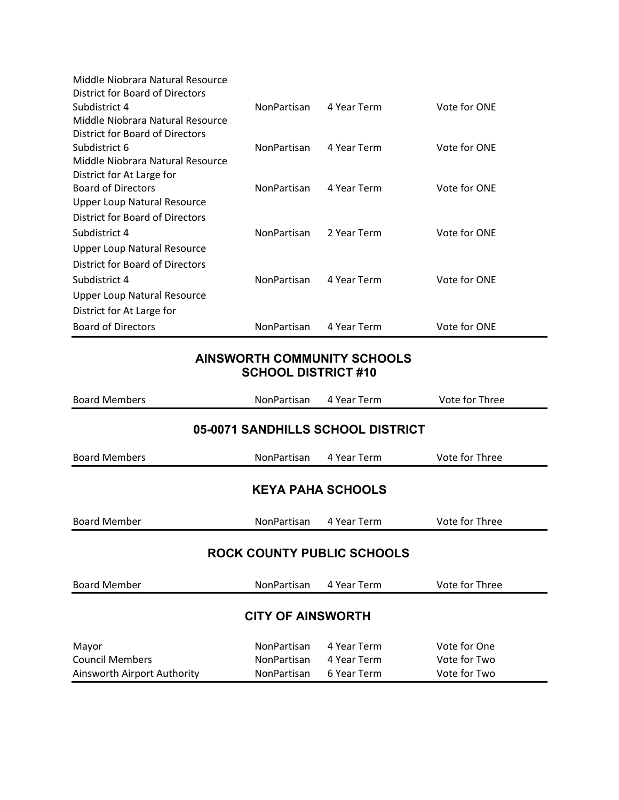| Middle Niobrara Natural Resource   |                    |             |              |
|------------------------------------|--------------------|-------------|--------------|
| District for Board of Directors    |                    |             |              |
| Subdistrict 4                      | NonPartisan        | 4 Year Term | Vote for ONE |
| Middle Niobrara Natural Resource   |                    |             |              |
| District for Board of Directors    |                    |             |              |
| Subdistrict 6                      | NonPartisan        | 4 Year Term | Vote for ONE |
| Middle Niobrara Natural Resource   |                    |             |              |
| District for At Large for          |                    |             |              |
| <b>Board of Directors</b>          | <b>NonPartisan</b> | 4 Year Term | Vote for ONE |
| <b>Upper Loup Natural Resource</b> |                    |             |              |
| District for Board of Directors    |                    |             |              |
| Subdistrict 4                      | NonPartisan        | 2 Year Term | Vote for ONE |
| Upper Loup Natural Resource        |                    |             |              |
| District for Board of Directors    |                    |             |              |
| Subdistrict 4                      | <b>NonPartisan</b> | 4 Year Term | Vote for ONE |
| <b>Upper Loup Natural Resource</b> |                    |             |              |
| District for At Large for          |                    |             |              |
| <b>Board of Directors</b>          | NonPartisan        | 4 Year Term | Vote for ONE |

## **AINSWORTH COMMUNITY SCHOOLS SCHOOL DISTRICT #10**

| <b>Board Members</b>              | NonPartisan        | 4 Year Term | Vote for Three |  |  |
|-----------------------------------|--------------------|-------------|----------------|--|--|
| 05-0071 SANDHILLS SCHOOL DISTRICT |                    |             |                |  |  |
| <b>Board Members</b>              | NonPartisan        | 4 Year Term | Vote for Three |  |  |
| <b>KEYA PAHA SCHOOLS</b>          |                    |             |                |  |  |
| <b>Board Member</b>               | NonPartisan        | 4 Year Term | Vote for Three |  |  |
| <b>ROCK COUNTY PUBLIC SCHOOLS</b> |                    |             |                |  |  |
| <b>Board Member</b>               | NonPartisan        | 4 Year Term | Vote for Three |  |  |
| <b>CITY OF AINSWORTH</b>          |                    |             |                |  |  |
| Mayor                             | NonPartisan        | 4 Year Term | Vote for One   |  |  |
| <b>Council Members</b>            | <b>NonPartisan</b> | 4 Year Term | Vote for Two   |  |  |
| Ainsworth Airport Authority       | NonPartisan        | 6 Year Term | Vote for Two   |  |  |